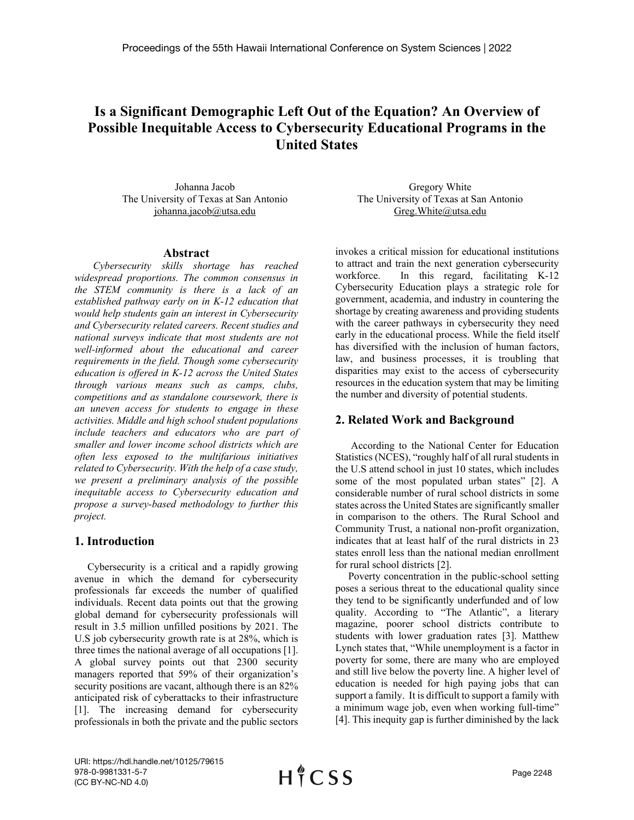# **Is a Significant Demographic Left Out of the Equation? An Overview of Possible Inequitable Access to Cybersecurity Educational Programs in the United States**

Johanna Jacob The University of Texas at San Antonio johanna.jacob@utsa.edu

#### **Abstract**

*Cybersecurity skills shortage has reached widespread proportions. The common consensus in the STEM community is there is a lack of an established pathway early on in K-12 education that would help students gain an interest in Cybersecurity and Cybersecurity related careers. Recent studies and national surveys indicate that most students are not well-informed about the educational and career requirements in the field. Though some cybersecurity education is offered in K-12 across the United States through various means such as camps, clubs, competitions and as standalone coursework, there is an uneven access for students to engage in these activities. Middle and high school student populations include teachers and educators who are part of smaller and lower income school districts which are often less exposed to the multifarious initiatives related to Cybersecurity. With the help of a case study, we present a preliminary analysis of the possible inequitable access to Cybersecurity education and propose a survey-based methodology to further this project.*

### **1. Introduction**

 Cybersecurity is a critical and a rapidly growing avenue in which the demand for cybersecurity professionals far exceeds the number of qualified individuals. Recent data points out that the growing global demand for cybersecurity professionals will result in 3.5 million unfilled positions by 2021. The U.S job cybersecurity growth rate is at 28%, which is three times the national average of all occupations [1]. A global survey points out that 2300 security managers reported that 59% of their organization's security positions are vacant, although there is an 82% anticipated risk of cyberattacks to their infrastructure [1]. The increasing demand for cybersecurity professionals in both the private and the public sectors

Gregory White The University of Texas at San Antonio Greg.White@utsa.edu

invokes a critical mission for educational institutions to attract and train the next generation cybersecurity workforce. In this regard, facilitating K-12 Cybersecurity Education plays a strategic role for government, academia, and industry in countering the shortage by creating awareness and providing students with the career pathways in cybersecurity they need early in the educational process. While the field itself has diversified with the inclusion of human factors, law, and business processes, it is troubling that disparities may exist to the access of cybersecurity resources in the education system that may be limiting the number and diversity of potential students.

# **2. Related Work and Background**

 According to the National Center for Education Statistics (NCES), "roughly half of all rural students in the U.S attend school in just 10 states, which includes some of the most populated urban states" [2]. A considerable number of rural school districts in some states across the United States are significantly smaller in comparison to the others. The Rural School and Community Trust, a national non-profit organization, indicates that at least half of the rural districts in 23 states enroll less than the national median enrollment for rural school districts [2].

 Poverty concentration in the public-school setting poses a serious threat to the educational quality since they tend to be significantly underfunded and of low quality. According to "The Atlantic", a literary magazine, poorer school districts contribute to students with lower graduation rates [3]. Matthew Lynch states that, "While unemployment is a factor in poverty for some, there are many who are employed and still live below the poverty line. A higher level of education is needed for high paying jobs that can support a family. It is difficult to support a family with a minimum wage job, even when working full-time" [4]. This inequity gap is further diminished by the lack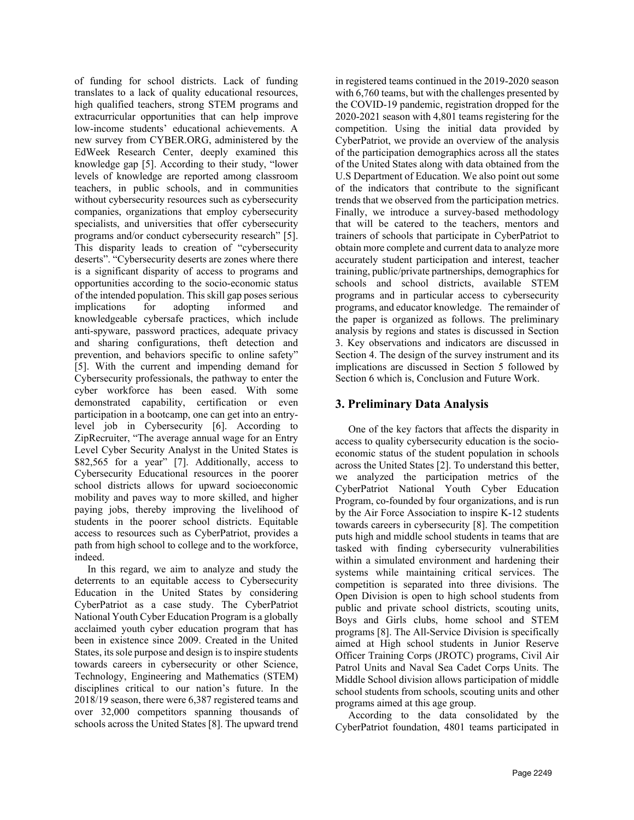of funding for school districts. Lack of funding translates to a lack of quality educational resources, high qualified teachers, strong STEM programs and extracurricular opportunities that can help improve low-income students' educational achievements. A new survey from CYBER.ORG, administered by the EdWeek Research Center, deeply examined this knowledge gap [5]. According to their study, "lower levels of knowledge are reported among classroom teachers, in public schools, and in communities without cybersecurity resources such as cybersecurity companies, organizations that employ cybersecurity specialists, and universities that offer cybersecurity programs and/or conduct cybersecurity research" [5]. This disparity leads to creation of "cybersecurity deserts". "Cybersecurity deserts are zones where there is a significant disparity of access to programs and opportunities according to the socio-economic status of the intended population. This skill gap poses serious implications for adopting informed and knowledgeable cybersafe practices, which include anti-spyware, password practices, adequate privacy and sharing configurations, theft detection and prevention, and behaviors specific to online safety" [5]. With the current and impending demand for Cybersecurity professionals, the pathway to enter the cyber workforce has been eased. With some demonstrated capability, certification or even participation in a bootcamp, one can get into an entrylevel job in Cybersecurity [6]. According to ZipRecruiter, "The average annual wage for an Entry Level Cyber Security Analyst in the United States is \$82,565 for a year" [7]. Additionally, access to Cybersecurity Educational resources in the poorer school districts allows for upward socioeconomic mobility and paves way to more skilled, and higher paying jobs, thereby improving the livelihood of students in the poorer school districts. Equitable access to resources such as CyberPatriot, provides a path from high school to college and to the workforce, indeed.

 In this regard, we aim to analyze and study the deterrents to an equitable access to Cybersecurity Education in the United States by considering CyberPatriot as a case study. The CyberPatriot National Youth Cyber Education Program is a globally acclaimed youth cyber education program that has been in existence since 2009. Created in the United States, its sole purpose and design is to inspire students towards careers in cybersecurity or other Science, Technology, Engineering and Mathematics (STEM) disciplines critical to our nation's future. In the 2018/19 season, there were 6,387 registered teams and over 32,000 competitors spanning thousands of schools across the United States [8]. The upward trend

in registered teams continued in the 2019-2020 season with 6,760 teams, but with the challenges presented by the COVID-19 pandemic, registration dropped for the 2020-2021 season with 4,801 teams registering for the competition. Using the initial data provided by CyberPatriot, we provide an overview of the analysis of the participation demographics across all the states of the United States along with data obtained from the U.S Department of Education. We also point out some of the indicators that contribute to the significant trends that we observed from the participation metrics. Finally, we introduce a survey-based methodology that will be catered to the teachers, mentors and trainers of schools that participate in CyberPatriot to obtain more complete and current data to analyze more accurately student participation and interest, teacher training, public/private partnerships, demographics for schools and school districts, available STEM programs and in particular access to cybersecurity programs, and educator knowledge. The remainder of the paper is organized as follows. The preliminary analysis by regions and states is discussed in Section 3. Key observations and indicators are discussed in Section 4. The design of the survey instrument and its implications are discussed in Section 5 followed by Section 6 which is, Conclusion and Future Work.

# **3. Preliminary Data Analysis**

 One of the key factors that affects the disparity in access to quality cybersecurity education is the socioeconomic status of the student population in schools across the United States [2]. To understand this better, we analyzed the participation metrics of the CyberPatriot National Youth Cyber Education Program, co-founded by four organizations, and is run by the Air Force Association to inspire K-12 students towards careers in cybersecurity [8]. The competition puts high and middle school students in teams that are tasked with finding cybersecurity vulnerabilities within a simulated environment and hardening their systems while maintaining critical services. The competition is separated into three divisions. The Open Division is open to high school students from public and private school districts, scouting units, Boys and Girls clubs, home school and STEM programs [8]. The All-Service Division is specifically aimed at High school students in Junior Reserve Officer Training Corps (JROTC) programs, Civil Air Patrol Units and Naval Sea Cadet Corps Units. The Middle School division allows participation of middle school students from schools, scouting units and other programs aimed at this age group.

 According to the data consolidated by the CyberPatriot foundation, 4801 teams participated in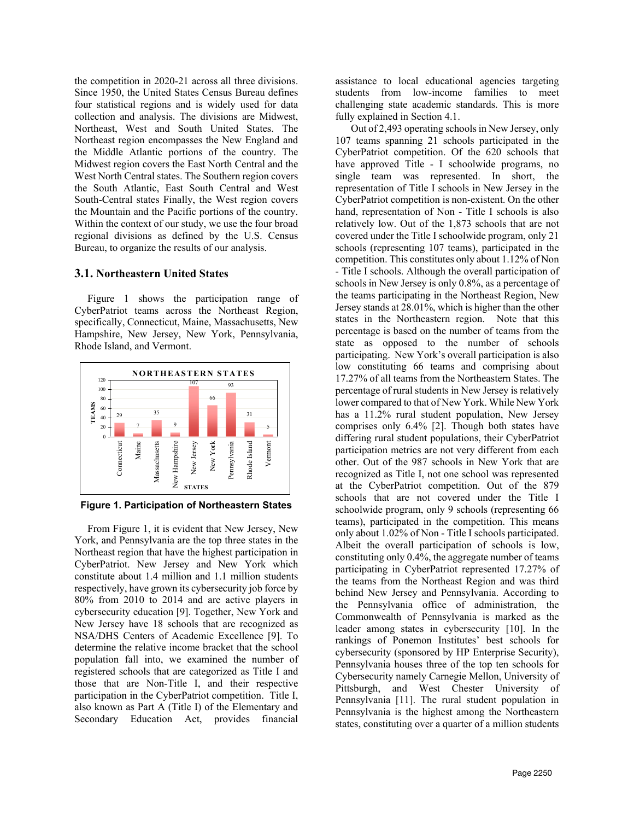the competition in 2020-21 across all three divisions. Since 1950, the United States Census Bureau defines four statistical regions and is widely used for data collection and analysis. The divisions are Midwest, Northeast, West and South United States. The Northeast region encompasses the New England and the Middle Atlantic portions of the country. The Midwest region covers the East North Central and the West North Central states. The Southern region covers the South Atlantic, East South Central and West South-Central states Finally, the West region covers the Mountain and the Pacific portions of the country. Within the context of our study, we use the four broad regional divisions as defined by the U.S. Census Bureau, to organize the results of our analysis.

### **3.1. Northeastern United States**

 Figure 1 shows the participation range of CyberPatriot teams across the Northeast Region, specifically, Connecticut, Maine, Massachusetts, New Hampshire, New Jersey, New York, Pennsylvania, Rhode Island, and Vermont.



**Figure 1. Participation of Northeastern States**

 From Figure 1, it is evident that New Jersey, New York, and Pennsylvania are the top three states in the Northeast region that have the highest participation in CyberPatriot. New Jersey and New York which constitute about 1.4 million and 1.1 million students respectively, have grown its cybersecurity job force by 80% from 2010 to 2014 and are active players in cybersecurity education [9]. Together, New York and New Jersey have 18 schools that are recognized as NSA/DHS Centers of Academic Excellence [9]. To determine the relative income bracket that the school population fall into, we examined the number of registered schools that are categorized as Title I and those that are Non-Title I, and their respective participation in the CyberPatriot competition. Title I, also known as Part A (Title I) of the Elementary and Secondary Education Act, provides financial

assistance to local educational agencies targeting students from low-income families to meet challenging state academic standards. This is more fully explained in Section 4.1.

 Out of 2,493 operating schools in New Jersey, only 107 teams spanning 21 schools participated in the CyberPatriot competition. Of the 620 schools that have approved Title - I schoolwide programs, no single team was represented. In short, the representation of Title I schools in New Jersey in the CyberPatriot competition is non-existent. On the other hand, representation of Non - Title I schools is also relatively low. Out of the 1,873 schools that are not covered under the Title I schoolwide program, only 21 schools (representing 107 teams), participated in the competition. This constitutes only about 1.12% of Non - Title I schools. Although the overall participation of schools in New Jersey is only 0.8%, as a percentage of the teams participating in the Northeast Region, New Jersey stands at 28.01%, which is higher than the other states in the Northeastern region. Note that this percentage is based on the number of teams from the state as opposed to the number of schools participating. New York's overall participation is also low constituting 66 teams and comprising about 17.27% of all teams from the Northeastern States. The percentage of rural students in New Jersey is relatively lower compared to that of New York. While New York has a 11.2% rural student population, New Jersey comprises only 6.4% [2]. Though both states have differing rural student populations, their CyberPatriot participation metrics are not very different from each other. Out of the 987 schools in New York that are recognized as Title I, not one school was represented at the CyberPatriot competition. Out of the 879 schools that are not covered under the Title I schoolwide program, only 9 schools (representing 66 teams), participated in the competition. This means only about 1.02% of Non - Title I schools participated. Albeit the overall participation of schools is low, constituting only 0.4%, the aggregate number of teams participating in CyberPatriot represented 17.27% of the teams from the Northeast Region and was third behind New Jersey and Pennsylvania. According to the Pennsylvania office of administration, the Commonwealth of Pennsylvania is marked as the leader among states in cybersecurity [10]. In the rankings of Ponemon Institutes' best schools for cybersecurity (sponsored by HP Enterprise Security), Pennsylvania houses three of the top ten schools for Cybersecurity namely Carnegie Mellon, University of Pittsburgh, and West Chester University of Pennsylvania [11]. The rural student population in Pennsylvania is the highest among the Northeastern states, constituting over a quarter of a million students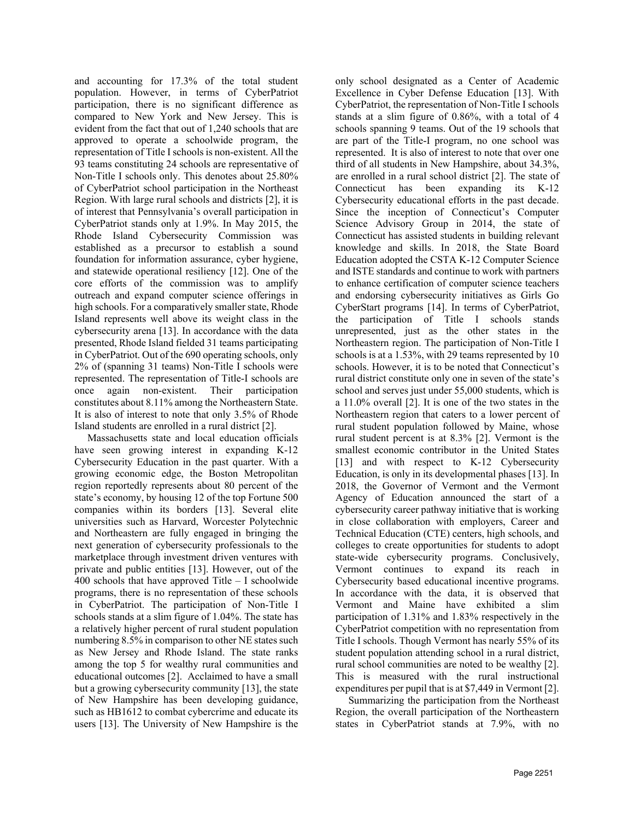and accounting for 17.3% of the total student population. However, in terms of CyberPatriot participation, there is no significant difference as compared to New York and New Jersey. This is evident from the fact that out of 1,240 schools that are approved to operate a schoolwide program, the representation of Title I schools is non-existent. All the 93 teams constituting 24 schools are representative of Non-Title I schools only. This denotes about 25.80% of CyberPatriot school participation in the Northeast Region. With large rural schools and districts [2], it is of interest that Pennsylvania's overall participation in CyberPatriot stands only at 1.9%. In May 2015, the Rhode Island Cybersecurity Commission was established as a precursor to establish a sound foundation for information assurance, cyber hygiene, and statewide operational resiliency [12]. One of the core efforts of the commission was to amplify outreach and expand computer science offerings in high schools. For a comparatively smaller state, Rhode Island represents well above its weight class in the cybersecurity arena [13]. In accordance with the data presented, Rhode Island fielded 31 teams participating in CyberPatriot. Out of the 690 operating schools, only 2% of (spanning 31 teams) Non-Title I schools were represented. The representation of Title-I schools are once again non-existent. Their participation constitutes about 8.11% among the Northeastern State. It is also of interest to note that only 3.5% of Rhode Island students are enrolled in a rural district [2].

 Massachusetts state and local education officials have seen growing interest in expanding K-12 Cybersecurity Education in the past quarter. With a growing economic edge, the Boston Metropolitan region reportedly represents about 80 percent of the state's economy, by housing 12 of the top Fortune 500 companies within its borders [13]. Several elite universities such as Harvard, Worcester Polytechnic and Northeastern are fully engaged in bringing the next generation of cybersecurity professionals to the marketplace through investment driven ventures with private and public entities [13]. However, out of the 400 schools that have approved Title – I schoolwide programs, there is no representation of these schools in CyberPatriot. The participation of Non-Title I schools stands at a slim figure of 1.04%. The state has a relatively higher percent of rural student population numbering 8.5% in comparison to other NE states such as New Jersey and Rhode Island. The state ranks among the top 5 for wealthy rural communities and educational outcomes [2]. Acclaimed to have a small but a growing cybersecurity community [13], the state of New Hampshire has been developing guidance, such as HB1612 to combat cybercrime and educate its users [13]. The University of New Hampshire is the only school designated as a Center of Academic Excellence in Cyber Defense Education [13]. With CyberPatriot, the representation of Non-Title I schools stands at a slim figure of 0.86%, with a total of 4 schools spanning 9 teams. Out of the 19 schools that are part of the Title-I program, no one school was represented. It is also of interest to note that over one third of all students in New Hampshire, about 34.3%, are enrolled in a rural school district [2]. The state of Connecticut has been expanding its K-12 Cybersecurity educational efforts in the past decade. Since the inception of Connecticut's Computer Science Advisory Group in 2014, the state of Connecticut has assisted students in building relevant knowledge and skills. In 2018, the State Board Education adopted the CSTA K-12 Computer Science and ISTE standards and continue to work with partners to enhance certification of computer science teachers and endorsing cybersecurity initiatives as Girls Go CyberStart programs [14]. In terms of CyberPatriot, the participation of Title I schools stands unrepresented, just as the other states in the Northeastern region. The participation of Non-Title I schools is at a 1.53%, with 29 teams represented by 10 schools. However, it is to be noted that Connecticut's rural district constitute only one in seven of the state's school and serves just under 55,000 students, which is a 11.0% overall [2]. It is one of the two states in the Northeastern region that caters to a lower percent of rural student population followed by Maine, whose rural student percent is at 8.3% [2]. Vermont is the smallest economic contributor in the United States [13] and with respect to K-12 Cybersecurity Education, is only in its developmental phases [13]. In 2018, the Governor of Vermont and the Vermont Agency of Education announced the start of a cybersecurity career pathway initiative that is working in close collaboration with employers, Career and Technical Education (CTE) centers, high schools, and colleges to create opportunities for students to adopt state-wide cybersecurity programs. Conclusively, Vermont continues to expand its reach in Cybersecurity based educational incentive programs. In accordance with the data, it is observed that Vermont and Maine have exhibited a slim participation of 1.31% and 1.83% respectively in the CyberPatriot competition with no representation from Title I schools. Though Vermont has nearly 55% of its student population attending school in a rural district, rural school communities are noted to be wealthy [2]. This is measured with the rural instructional expenditures per pupil that is at \$7,449 in Vermont [2].

 Summarizing the participation from the Northeast Region, the overall participation of the Northeastern states in CyberPatriot stands at 7.9%, with no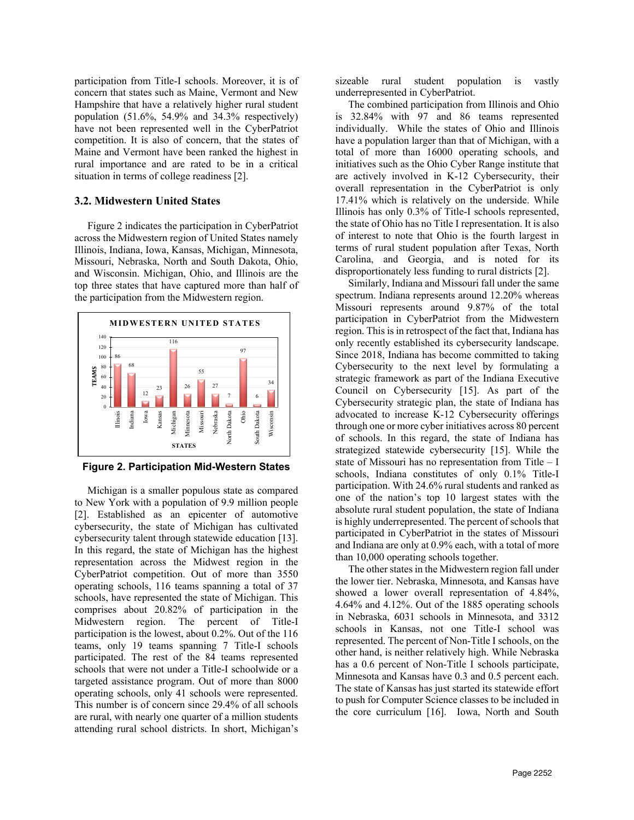participation from Title-I schools. Moreover, it is of concern that states such as Maine, Vermont and New Hampshire that have a relatively higher rural student population (51.6%, 54.9% and 34.3% respectively) have not been represented well in the CyberPatriot competition. It is also of concern, that the states of Maine and Vermont have been ranked the highest in rural importance and are rated to be in a critical situation in terms of college readiness [2].

### **3.2. Midwestern United States**

 Figure 2 indicates the participation in CyberPatriot across the Midwestern region of United States namely Illinois, Indiana, Iowa, Kansas, Michigan, Minnesota, Missouri, Nebraska, North and South Dakota, Ohio, and Wisconsin. Michigan, Ohio, and Illinois are the top three states that have captured more than half of the participation from the Midwestern region.



**Figure 2. Participation Mid-Western States**

 Michigan is a smaller populous state as compared to New York with a population of 9.9 million people [2]. Established as an epicenter of automotive cybersecurity, the state of Michigan has cultivated cybersecurity talent through statewide education [13]. In this regard, the state of Michigan has the highest representation across the Midwest region in the CyberPatriot competition. Out of more than 3550 operating schools, 116 teams spanning a total of 37 schools, have represented the state of Michigan. This comprises about 20.82% of participation in the Midwestern region. The percent of Title-I participation is the lowest, about 0.2%. Out of the 116 teams, only 19 teams spanning 7 Title-I schools participated. The rest of the 84 teams represented schools that were not under a Title-I schoolwide or a targeted assistance program. Out of more than 8000 operating schools, only 41 schools were represented. This number is of concern since 29.4% of all schools are rural, with nearly one quarter of a million students attending rural school districts. In short, Michigan's

sizeable rural student population is vastly underrepresented in CyberPatriot.

 The combined participation from Illinois and Ohio is 32.84% with 97 and 86 teams represented individually. While the states of Ohio and Illinois have a population larger than that of Michigan, with a total of more than 16000 operating schools, and initiatives such as the Ohio Cyber Range institute that are actively involved in K-12 Cybersecurity, their overall representation in the CyberPatriot is only 17.41% which is relatively on the underside. While Illinois has only 0.3% of Title-I schools represented, the state of Ohio has no Title I representation. It is also of interest to note that Ohio is the fourth largest in terms of rural student population after Texas, North Carolina, and Georgia, and is noted for its disproportionately less funding to rural districts [2].

 Similarly, Indiana and Missouri fall under the same spectrum. Indiana represents around 12.20% whereas Missouri represents around 9.87% of the total participation in CyberPatriot from the Midwestern region. This is in retrospect of the fact that, Indiana has only recently established its cybersecurity landscape. Since 2018, Indiana has become committed to taking Cybersecurity to the next level by formulating a strategic framework as part of the Indiana Executive Council on Cybersecurity [15]. As part of the Cybersecurity strategic plan, the state of Indiana has advocated to increase K-12 Cybersecurity offerings through one or more cyber initiatives across 80 percent of schools. In this regard, the state of Indiana has strategized statewide cybersecurity [15]. While the state of Missouri has no representation from Title – I schools, Indiana constitutes of only 0.1% Title-I participation. With 24.6% rural students and ranked as one of the nation's top 10 largest states with the absolute rural student population, the state of Indiana is highly underrepresented. The percent of schools that participated in CyberPatriot in the states of Missouri and Indiana are only at 0.9% each, with a total of more than 10,000 operating schools together.

 The other states in the Midwestern region fall under the lower tier. Nebraska, Minnesota, and Kansas have showed a lower overall representation of 4.84%, 4.64% and 4.12%. Out of the 1885 operating schools in Nebraska, 6031 schools in Minnesota, and 3312 schools in Kansas, not one Title-I school was represented. The percent of Non-Title I schools, on the other hand, is neither relatively high. While Nebraska has a 0.6 percent of Non-Title I schools participate, Minnesota and Kansas have 0.3 and 0.5 percent each. The state of Kansas has just started its statewide effort to push for Computer Science classes to be included in the core curriculum [16]. Iowa, North and South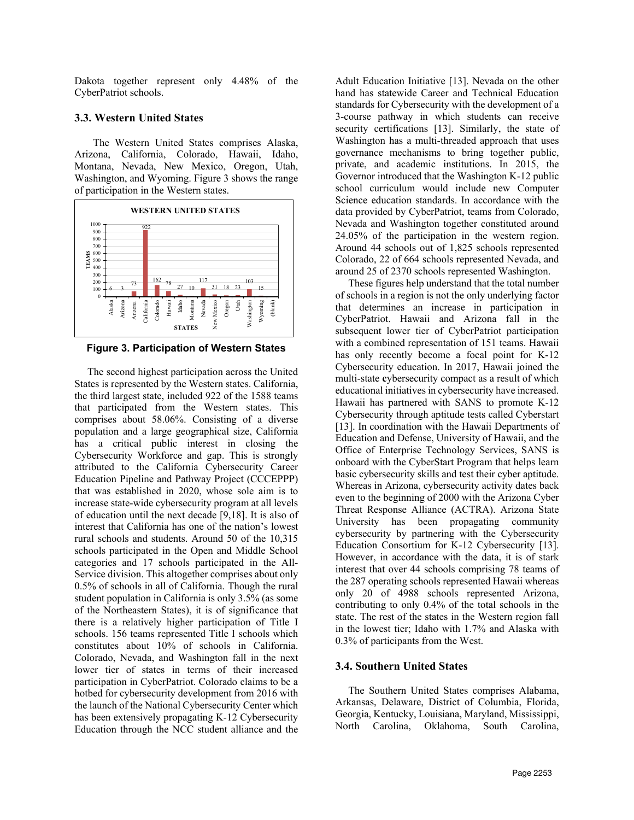Dakota together represent only 4.48% of the CyberPatriot schools.

### **3.3. Western United States**

The Western United States comprises Alaska, Arizona, California, Colorado, Hawaii, Idaho, Montana, Nevada, New Mexico, Oregon, Utah, Washington, and Wyoming. Figure 3 shows the range of participation in the Western states.



**Figure 3. Participation of Western States**

 The second highest participation across the United States is represented by the Western states. California, the third largest state, included 922 of the 1588 teams that participated from the Western states. This comprises about 58.06%. Consisting of a diverse population and a large geographical size, California has a critical public interest in closing the Cybersecurity Workforce and gap. This is strongly attributed to the California Cybersecurity Career Education Pipeline and Pathway Project (CCCEPPP) that was established in 2020, whose sole aim is to increase state-wide cybersecurity program at all levels of education until the next decade [9,18]. It is also of interest that California has one of the nation's lowest rural schools and students. Around 50 of the 10,315 schools participated in the Open and Middle School categories and 17 schools participated in the All-Service division. This altogether comprises about only 0.5% of schools in all of California. Though the rural student population in California is only 3.5% (as some of the Northeastern States), it is of significance that there is a relatively higher participation of Title I schools. 156 teams represented Title I schools which constitutes about 10% of schools in California. Colorado, Nevada, and Washington fall in the next lower tier of states in terms of their increased participation in CyberPatriot. Colorado claims to be a hotbed for cybersecurity development from 2016 with the launch of the National Cybersecurity Center which has been extensively propagating K-12 Cybersecurity Education through the NCC student alliance and the

Adult Education Initiative [13]. Nevada on the other hand has statewide Career and Technical Education standards for Cybersecurity with the development of a 3-course pathway in which students can receive security certifications [13]. Similarly, the state of Washington has a multi-threaded approach that uses governance mechanisms to bring together public, private, and academic institutions. In 2015, the Governor introduced that the Washington K-12 public school curriculum would include new Computer Science education standards. In accordance with the data provided by CyberPatriot, teams from Colorado, Nevada and Washington together constituted around 24.05% of the participation in the western region. Around 44 schools out of 1,825 schools represented Colorado, 22 of 664 schools represented Nevada, and around 25 of 2370 schools represented Washington.

 These figures help understand that the total number of schools in a region is not the only underlying factor that determines an increase in participation in CyberPatriot. Hawaii and Arizona fall in the subsequent lower tier of CyberPatriot participation with a combined representation of 151 teams. Hawaii has only recently become a focal point for K-12 Cybersecurity education. In 2017, Hawaii joined the multi-state **c**ybersecurity compact as a result of which educational initiatives in cybersecurity have increased. Hawaii has partnered with SANS to promote K-12 Cybersecurity through aptitude tests called Cyberstart [13]. In coordination with the Hawaii Departments of Education and Defense, University of Hawaii, and the Office of Enterprise Technology Services, SANS is onboard with the CyberStart Program that helps learn basic cybersecurity skills and test their cyber aptitude. Whereas in Arizona, cybersecurity activity dates back even to the beginning of 2000 with the Arizona Cyber Threat Response Alliance (ACTRA). Arizona State University has been propagating community cybersecurity by partnering with the Cybersecurity Education Consortium for K-12 Cybersecurity [13]. However, in accordance with the data, it is of stark interest that over 44 schools comprising 78 teams of the 287 operating schools represented Hawaii whereas only 20 of 4988 schools represented Arizona, contributing to only 0.4% of the total schools in the state. The rest of the states in the Western region fall in the lowest tier; Idaho with 1.7% and Alaska with 0.3% of participants from the West.

# **3.4. Southern United States**

 The Southern United States comprises Alabama, Arkansas, Delaware, District of Columbia, Florida, Georgia, Kentucky, Louisiana, Maryland, Mississippi, North Carolina, Oklahoma, South Carolina,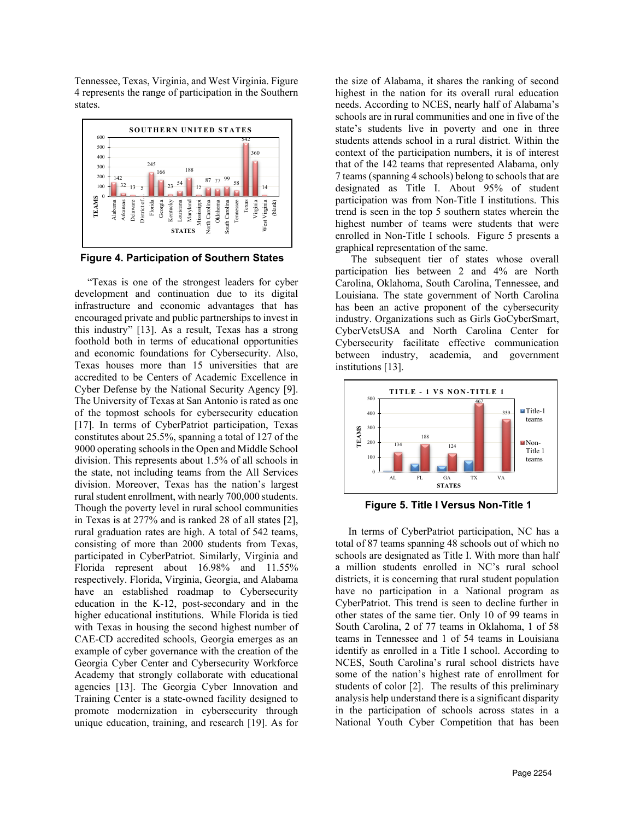Tennessee, Texas, Virginia, and West Virginia. Figure 4 represents the range of participation in the Southern states.



 **Figure 4. Participation of Southern States**

 "Texas is one of the strongest leaders for cyber development and continuation due to its digital infrastructure and economic advantages that has encouraged private and public partnerships to invest in this industry" [13]. As a result, Texas has a strong foothold both in terms of educational opportunities and economic foundations for Cybersecurity. Also, Texas houses more than 15 universities that are accredited to be Centers of Academic Excellence in Cyber Defense by the National Security Agency [9]. The University of Texas at San Antonio is rated as one of the topmost schools for cybersecurity education [17]. In terms of CyberPatriot participation, Texas constitutes about 25.5%, spanning a total of 127 of the 9000 operating schools in the Open and Middle School division. This represents about 1.5% of all schools in the state, not including teams from the All Services division. Moreover, Texas has the nation's largest rural student enrollment, with nearly 700,000 students. Though the poverty level in rural school communities in Texas is at 277% and is ranked 28 of all states [2], rural graduation rates are high. A total of 542 teams, consisting of more than 2000 students from Texas, participated in CyberPatriot. Similarly, Virginia and Florida represent about 16.98% and 11.55% respectively. Florida, Virginia, Georgia, and Alabama have an established roadmap to Cybersecurity education in the K-12, post-secondary and in the higher educational institutions. While Florida is tied with Texas in housing the second highest number of CAE-CD accredited schools, Georgia emerges as an example of cyber governance with the creation of the Georgia Cyber Center and Cybersecurity Workforce Academy that strongly collaborate with educational agencies [13]. The Georgia Cyber Innovation and Training Center is a state-owned facility designed to promote modernization in cybersecurity through unique education, training, and research [19]. As for

the size of Alabama, it shares the ranking of second highest in the nation for its overall rural education needs. According to NCES, nearly half of Alabama's schools are in rural communities and one in five of the state's students live in poverty and one in three students attends school in a rural district. Within the context of the participation numbers, it is of interest that of the 142 teams that represented Alabama, only 7 teams (spanning 4 schools) belong to schools that are designated as Title I. About 95% of student participation was from Non-Title I institutions. This trend is seen in the top 5 southern states wherein the highest number of teams were students that were enrolled in Non-Title I schools. Figure 5 presents a graphical representation of the same.

 The subsequent tier of states whose overall participation lies between 2 and 4% are North Carolina, Oklahoma, South Carolina, Tennessee, and Louisiana. The state government of North Carolina has been an active proponent of the cybersecurity industry. Organizations such as Girls GoCyberSmart, CyberVetsUSA and North Carolina Center for Cybersecurity facilitate effective communication between industry, academia, and government institutions [13].



**Figure 5. Title I Versus Non-Title 1**

 In terms of CyberPatriot participation, NC has a total of 87 teams spanning 48 schools out of which no schools are designated as Title I. With more than half a million students enrolled in NC's rural school districts, it is concerning that rural student population have no participation in a National program as CyberPatriot. This trend is seen to decline further in other states of the same tier. Only 10 of 99 teams in South Carolina, 2 of 77 teams in Oklahoma, 1 of 58 teams in Tennessee and 1 of 54 teams in Louisiana identify as enrolled in a Title I school. According to NCES, South Carolina's rural school districts have some of the nation's highest rate of enrollment for students of color [2]. The results of this preliminary analysis help understand there is a significant disparity in the participation of schools across states in a National Youth Cyber Competition that has been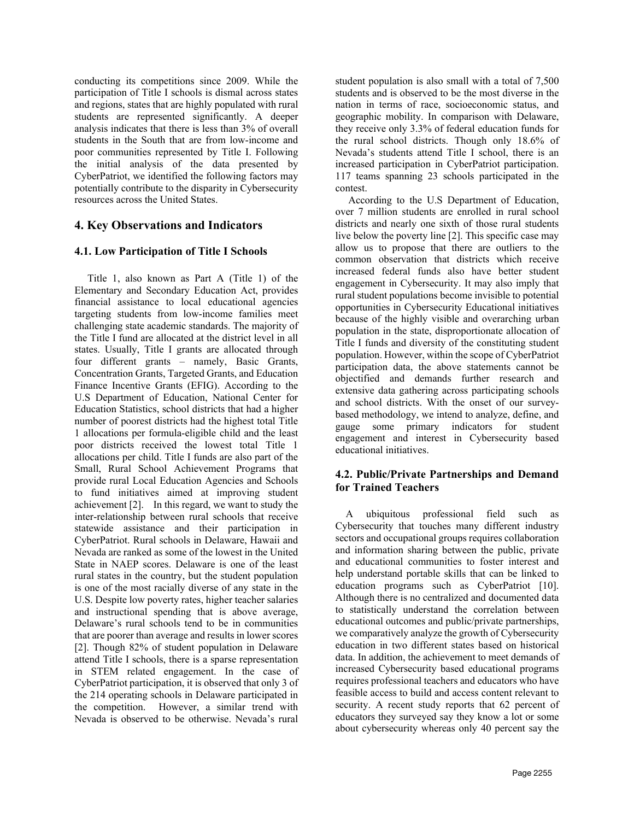conducting its competitions since 2009. While the participation of Title I schools is dismal across states and regions, states that are highly populated with rural students are represented significantly. A deeper analysis indicates that there is less than 3% of overall students in the South that are from low-income and poor communities represented by Title I. Following the initial analysis of the data presented by CyberPatriot, we identified the following factors may potentially contribute to the disparity in Cybersecurity resources across the United States.

# **4. Key Observations and Indicators**

### **4.1. Low Participation of Title I Schools**

 Title 1, also known as Part A (Title 1) of the Elementary and Secondary Education Act, provides financial assistance to local educational agencies targeting students from low-income families meet challenging state academic standards. The majority of the Title I fund are allocated at the district level in all states. Usually, Title I grants are allocated through four different grants – namely, Basic Grants, Concentration Grants, Targeted Grants, and Education Finance Incentive Grants (EFIG). According to the U.S Department of Education, National Center for Education Statistics, school districts that had a higher number of poorest districts had the highest total Title 1 allocations per formula-eligible child and the least poor districts received the lowest total Title 1 allocations per child. Title I funds are also part of the Small, Rural School Achievement Programs that provide rural Local Education Agencies and Schools to fund initiatives aimed at improving student achievement [2]. In this regard, we want to study the inter-relationship between rural schools that receive statewide assistance and their participation in CyberPatriot. Rural schools in Delaware, Hawaii and Nevada are ranked as some of the lowest in the United State in NAEP scores. Delaware is one of the least rural states in the country, but the student population is one of the most racially diverse of any state in the U.S. Despite low poverty rates, higher teacher salaries and instructional spending that is above average, Delaware's rural schools tend to be in communities that are poorer than average and results in lower scores [2]. Though 82% of student population in Delaware attend Title I schools, there is a sparse representation in STEM related engagement. In the case of CyberPatriot participation, it is observed that only 3 of the 214 operating schools in Delaware participated in the competition. However, a similar trend with Nevada is observed to be otherwise. Nevada's rural

student population is also small with a total of 7,500 students and is observed to be the most diverse in the nation in terms of race, socioeconomic status, and geographic mobility. In comparison with Delaware, they receive only 3.3% of federal education funds for the rural school districts. Though only 18.6% of Nevada's students attend Title I school, there is an increased participation in CyberPatriot participation. 117 teams spanning 23 schools participated in the contest.

 According to the U.S Department of Education, over 7 million students are enrolled in rural school districts and nearly one sixth of those rural students live below the poverty line [2]. This specific case may allow us to propose that there are outliers to the common observation that districts which receive increased federal funds also have better student engagement in Cybersecurity. It may also imply that rural student populations become invisible to potential opportunities in Cybersecurity Educational initiatives because of the highly visible and overarching urban population in the state, disproportionate allocation of Title I funds and diversity of the constituting student population. However, within the scope of CyberPatriot participation data, the above statements cannot be objectified and demands further research and extensive data gathering across participating schools and school districts. With the onset of our surveybased methodology, we intend to analyze, define, and gauge some primary indicators for student engagement and interest in Cybersecurity based educational initiatives.

### **4.2. Public/Private Partnerships and Demand for Trained Teachers**

 A ubiquitous professional field such as Cybersecurity that touches many different industry sectors and occupational groups requires collaboration and information sharing between the public, private and educational communities to foster interest and help understand portable skills that can be linked to education programs such as CyberPatriot [10]. Although there is no centralized and documented data to statistically understand the correlation between educational outcomes and public/private partnerships, we comparatively analyze the growth of Cybersecurity education in two different states based on historical data. In addition, the achievement to meet demands of increased Cybersecurity based educational programs requires professional teachers and educators who have feasible access to build and access content relevant to security. A recent study reports that 62 percent of educators they surveyed say they know a lot or some about cybersecurity whereas only 40 percent say the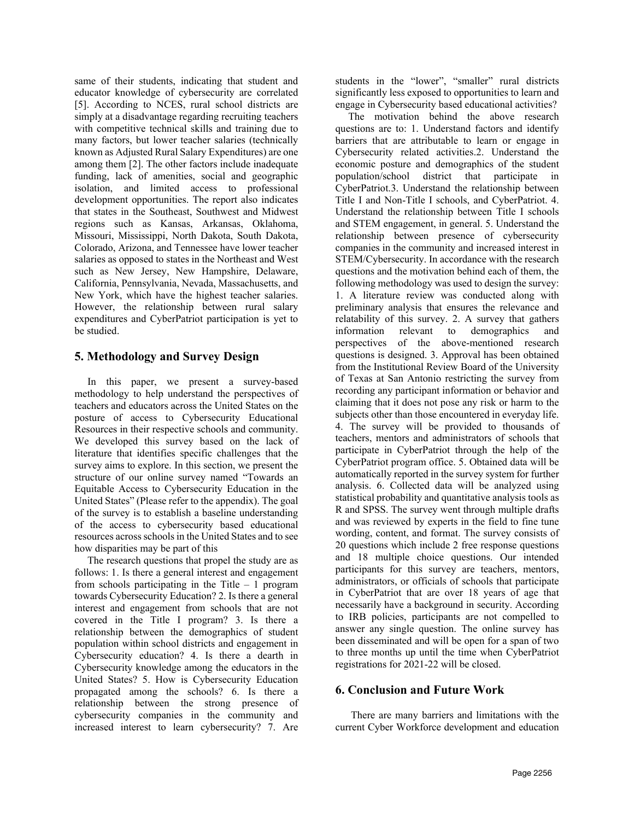same of their students, indicating that student and educator knowledge of cybersecurity are correlated [5]. According to NCES, rural school districts are simply at a disadvantage regarding recruiting teachers with competitive technical skills and training due to many factors, but lower teacher salaries (technically known as Adjusted Rural Salary Expenditures) are one among them [2]. The other factors include inadequate funding, lack of amenities, social and geographic isolation, and limited access to professional development opportunities. The report also indicates that states in the Southeast, Southwest and Midwest regions such as Kansas, Arkansas, Oklahoma, Missouri, Mississippi, North Dakota, South Dakota, Colorado, Arizona, and Tennessee have lower teacher salaries as opposed to states in the Northeast and West such as New Jersey, New Hampshire, Delaware, California, Pennsylvania, Nevada, Massachusetts, and New York, which have the highest teacher salaries. However, the relationship between rural salary expenditures and CyberPatriot participation is yet to be studied.

# **5. Methodology and Survey Design**

 In this paper, we present a survey-based methodology to help understand the perspectives of teachers and educators across the United States on the posture of access to Cybersecurity Educational Resources in their respective schools and community. We developed this survey based on the lack of literature that identifies specific challenges that the survey aims to explore. In this section, we present the structure of our online survey named "Towards an Equitable Access to Cybersecurity Education in the United States" (Please refer to the appendix). The goal of the survey is to establish a baseline understanding of the access to cybersecurity based educational resources across schools in the United States and to see how disparities may be part of this

 The research questions that propel the study are as follows: 1. Is there a general interest and engagement from schools participating in the Title  $-1$  program towards Cybersecurity Education? 2. Is there a general interest and engagement from schools that are not covered in the Title I program? 3. Is there a relationship between the demographics of student population within school districts and engagement in Cybersecurity education? 4. Is there a dearth in Cybersecurity knowledge among the educators in the United States? 5. How is Cybersecurity Education propagated among the schools? 6. Is there a relationship between the strong presence of cybersecurity companies in the community and increased interest to learn cybersecurity? 7. Are

students in the "lower", "smaller" rural districts significantly less exposed to opportunities to learn and engage in Cybersecurity based educational activities?

 The motivation behind the above research questions are to: 1. Understand factors and identify barriers that are attributable to learn or engage in Cybersecurity related activities.2. Understand the economic posture and demographics of the student population/school district that participate in CyberPatriot.3. Understand the relationship between Title I and Non-Title I schools, and CyberPatriot. 4. Understand the relationship between Title I schools and STEM engagement, in general. 5. Understand the relationship between presence of cybersecurity companies in the community and increased interest in STEM/Cybersecurity. In accordance with the research questions and the motivation behind each of them, the following methodology was used to design the survey: 1. A literature review was conducted along with preliminary analysis that ensures the relevance and relatability of this survey. 2. A survey that gathers information relevant to demographics and perspectives of the above-mentioned research questions is designed. 3. Approval has been obtained from the Institutional Review Board of the University of Texas at San Antonio restricting the survey from recording any participant information or behavior and claiming that it does not pose any risk or harm to the subjects other than those encountered in everyday life. 4. The survey will be provided to thousands of teachers, mentors and administrators of schools that participate in CyberPatriot through the help of the CyberPatriot program office. 5. Obtained data will be automatically reported in the survey system for further analysis. 6. Collected data will be analyzed using statistical probability and quantitative analysis tools as R and SPSS. The survey went through multiple drafts and was reviewed by experts in the field to fine tune wording, content, and format. The survey consists of 20 questions which include 2 free response questions and 18 multiple choice questions. Our intended participants for this survey are teachers, mentors, administrators, or officials of schools that participate in CyberPatriot that are over 18 years of age that necessarily have a background in security. According to IRB policies, participants are not compelled to answer any single question. The online survey has been disseminated and will be open for a span of two to three months up until the time when CyberPatriot registrations for 2021-22 will be closed.

# **6. Conclusion and Future Work**

 There are many barriers and limitations with the current Cyber Workforce development and education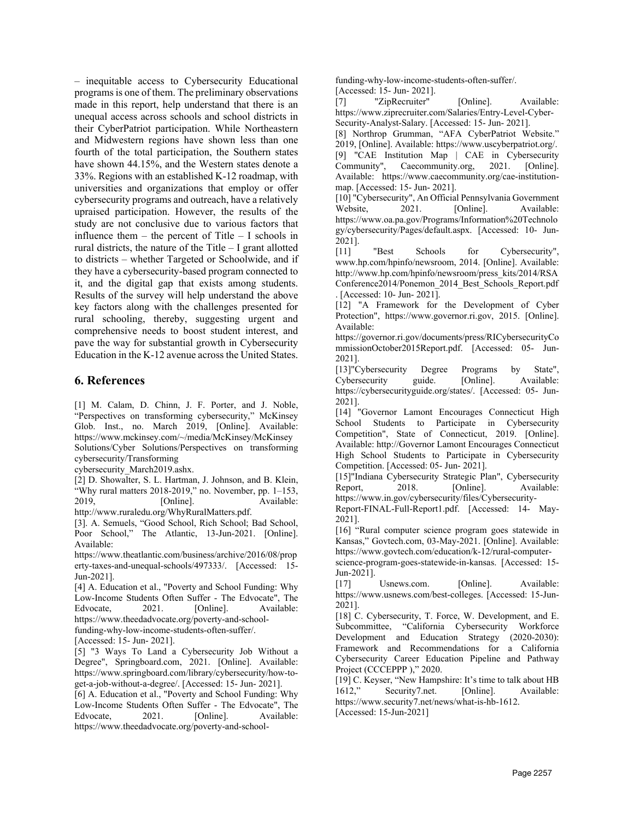– inequitable access to Cybersecurity Educational programs is one of them. The preliminary observations made in this report, help understand that there is an unequal access across schools and school districts in their CyberPatriot participation. While Northeastern and Midwestern regions have shown less than one fourth of the total participation, the Southern states have shown 44.15%, and the Western states denote a 33%. Regions with an established K-12 roadmap, with universities and organizations that employ or offer cybersecurity programs and outreach, have a relatively upraised participation. However, the results of the study are not conclusive due to various factors that influence them  $-$  the percent of Title  $-$  I schools in rural districts, the nature of the Title – I grant allotted to districts – whether Targeted or Schoolwide, and if they have a cybersecurity-based program connected to it, and the digital gap that exists among students. Results of the survey will help understand the above key factors along with the challenges presented for rural schooling, thereby, suggesting urgent and comprehensive needs to boost student interest, and pave the way for substantial growth in Cybersecurity Education in the K-12 avenue across the United States.

### **6. References**

[1] M. Calam, D. Chinn, J. F. Porter, and J. Noble, "Perspectives on transforming cybersecurity," McKinsey Glob. Inst., no. March 2019, [Online]. Available: https://www.mckinsey.com/~/media/McKinsey/McKinsey Solutions/Cyber Solutions/Perspectives on transforming cybersecurity/Transforming

cybersecurity\_March2019.ashx.

[2] D. Showalter, S. L. Hartman, J. Johnson, and B. Klein, "Why rural matters  $2018-2019$ ," no. November, pp.  $1-153$ , 2019, [Online]. Available:

http://www.ruraledu.org/WhyRuralMatters.pdf.

[3]. A. Semuels, "Good School, Rich School; Bad School, Poor School," The Atlantic, 13-Jun-2021. [Online]. Available:

https://www.theatlantic.com/business/archive/2016/08/prop erty-taxes-and-unequal-schools/497333/. [Accessed: 15- Jun-2021].

[4] A. Education et al., "Poverty and School Funding: Why Low-Income Students Often Suffer - The Edvocate", The Edvocate, 2021. [Online]. Available: https://www.theedadvocate.org/poverty-and-school-

funding-why-low-income-students-often-suffer/.

[5] "3 Ways To Land a Cybersecurity Job Without a Degree", Springboard.com, 2021. [Online]. Available: https://www.springboard.com/library/cybersecurity/how-toget-a-job-without-a-degree/. [Accessed: 15- Jun- 2021].

[6] A. Education et al., "Poverty and School Funding: Why Low-Income Students Often Suffer - The Edvocate", The Edvocate, 2021. [Online]. Available: https://www.theedadvocate.org/poverty-and-schoolfunding-why-low-income-students-often-suffer/. [Accessed: 15- Jun- 2021].

[7] "ZipRecruiter" [Online]. Available: https://www.ziprecruiter.com/Salaries/Entry-Level-Cyber-

Security-Analyst-Salary. [Accessed: 15- Jun- 2021]. [8] Northrop Grumman, "AFA CyberPatriot Website." 2019, [Online]. Available: https://www.uscyberpatriot.org/. [9] "CAE Institution Map | CAE in Cybersecurity Community", Caecommunity.org, 2021. [Online]. Available: https://www.caecommunity.org/cae-institutionmap. [Accessed: 15- Jun- 2021].

[10] "Cybersecurity", An Official Pennsylvania Government Website, 2021. [Online]. Available: https://www.oa.pa.gov/Programs/Information%20Technolo gy/cybersecurity/Pages/default.aspx. [Accessed: 10- Jun-2021].

[11] "Best Schools for Cybersecurity", www.hp.com/hpinfo/newsroom, 2014. [Online]. Available: http://www.hp.com/hpinfo/newsroom/press\_kits/2014/RSA Conference2014/Ponemon\_2014\_Best\_Schools\_Report.pdf . [Accessed: 10- Jun- 2021].

[12] "A Framework for the Development of Cyber Protection", https://www.governor.ri.gov, 2015. [Online]. Available:

https://governor.ri.gov/documents/press/RICybersecurityCo mmissionOctober2015Report.pdf. [Accessed: 05- Jun-2021].

[13]"Cybersecurity Degree Programs by State", Cybersecurity guide. [Online]. Available: https://cybersecurityguide.org/states/. [Accessed: 05- Jun-2021].

[14] "Governor Lamont Encourages Connecticut High School Students to Participate in Cybersecurity Competition", State of Connecticut, 2019. [Online]. Available: http://Governor Lamont Encourages Connecticut High School Students to Participate in Cybersecurity Competition. [Accessed: 05- Jun- 2021].

[15]"Indiana Cybersecurity Strategic Plan", Cybersecurity Report, 2018. [Online]. Available: https://www.in.gov/cybersecurity/files/Cybersecurity-

Report-FINAL-Full-Report1.pdf. [Accessed: 14- May-2021].

[16] "Rural computer science program goes statewide in Kansas," Govtech.com, 03-May-2021. [Online]. Available: https://www.govtech.com/education/k-12/rural-computer-

science-program-goes-statewide-in-kansas. [Accessed: 15- Jun-2021].

[17] Usnews.com. [Online]. Available: https://www.usnews.com/best-colleges. [Accessed: 15-Jun-2021].

[18] C. Cybersecurity, T. Force, W. Development, and E. Subcommittee, "California Cybersecurity Workforce Development and Education Strategy (2020-2030): Framework and Recommendations for a California Cybersecurity Career Education Pipeline and Pathway Project (CCCEPPP )," 2020.

[19] C. Keyser, "New Hampshire: It's time to talk about HB 1612," Security7.net. [Online]. Available: https://www.security7.net/news/what-is-hb-1612. [Accessed: 15-Jun-2021]

<sup>[</sup>Accessed: 15- Jun- 2021].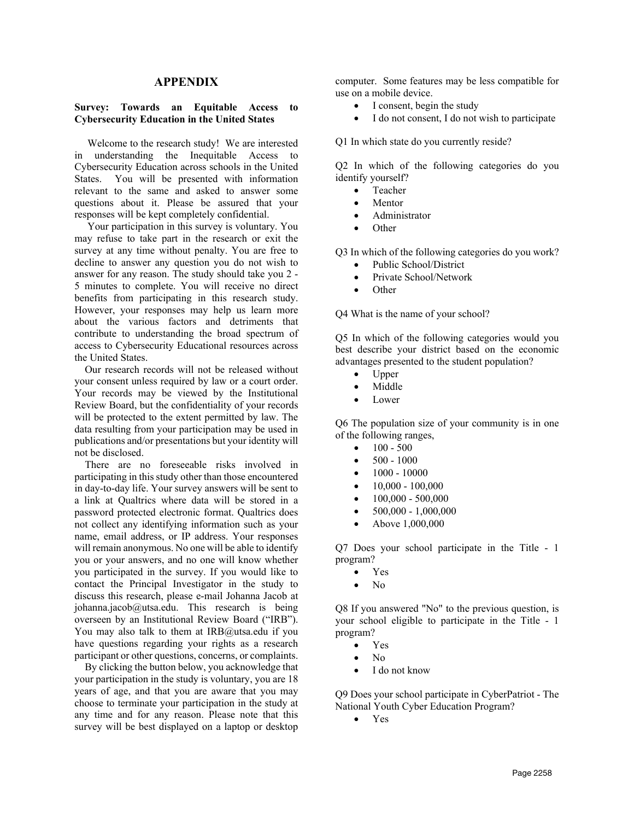### **APPENDIX**

#### **Survey: Towards an Equitable Access to Cybersecurity Education in the United States**

 Welcome to the research study! We are interested in understanding the Inequitable Access to Cybersecurity Education across schools in the United States. You will be presented with information relevant to the same and asked to answer some questions about it. Please be assured that your responses will be kept completely confidential.

 Your participation in this survey is voluntary. You may refuse to take part in the research or exit the survey at any time without penalty. You are free to decline to answer any question you do not wish to answer for any reason. The study should take you 2 - 5 minutes to complete. You will receive no direct benefits from participating in this research study. However, your responses may help us learn more about the various factors and detriments that contribute to understanding the broad spectrum of access to Cybersecurity Educational resources across the United States.

 Our research records will not be released without your consent unless required by law or a court order. Your records may be viewed by the Institutional Review Board, but the confidentiality of your records will be protected to the extent permitted by law. The data resulting from your participation may be used in publications and/or presentations but your identity will not be disclosed.

 There are no foreseeable risks involved in participating in this study other than those encountered in day-to-day life. Your survey answers will be sent to a link at Qualtrics where data will be stored in a password protected electronic format. Qualtrics does not collect any identifying information such as your name, email address, or IP address. Your responses will remain anonymous. No one will be able to identify you or your answers, and no one will know whether you participated in the survey. If you would like to contact the Principal Investigator in the study to discuss this research, please e-mail Johanna Jacob at johanna.jacob@utsa.edu. This research is being overseen by an Institutional Review Board ("IRB"). You may also talk to them at IRB@utsa.edu if you have questions regarding your rights as a research participant or other questions, concerns, or complaints.

 By clicking the button below, you acknowledge that your participation in the study is voluntary, you are 18 years of age, and that you are aware that you may choose to terminate your participation in the study at any time and for any reason. Please note that this survey will be best displayed on a laptop or desktop computer. Some features may be less compatible for use on a mobile device.

- I consent, begin the study
- I do not consent, I do not wish to participate

Q1 In which state do you currently reside?

Q2 In which of the following categories do you identify yourself?

- Teacher
- Mentor
- Administrator
- Other

Q3 In which of the following categories do you work?

- Public School/District
- Private School/Network
- Other

Q4 What is the name of your school?

Q5 In which of the following categories would you best describe your district based on the economic advantages presented to the student population?

- Upper
- Middle
- Lower

Q6 The population size of your community is in one of the following ranges,

- $100 500$
- $500 1000$
- $\bullet$  1000 10000
- $\bullet$  10,000 100,000
- $\bullet$  100,000 500,000
- $\bullet$  500,000 1,000,000
- Above 1,000,000

Q7 Does your school participate in the Title - 1 program?

- Yes
- No

Q8 If you answered "No" to the previous question, is your school eligible to participate in the Title - 1 program?

- Yes
- No
- I do not know

Q9 Does your school participate in CyberPatriot - The National Youth Cyber Education Program?

• Yes